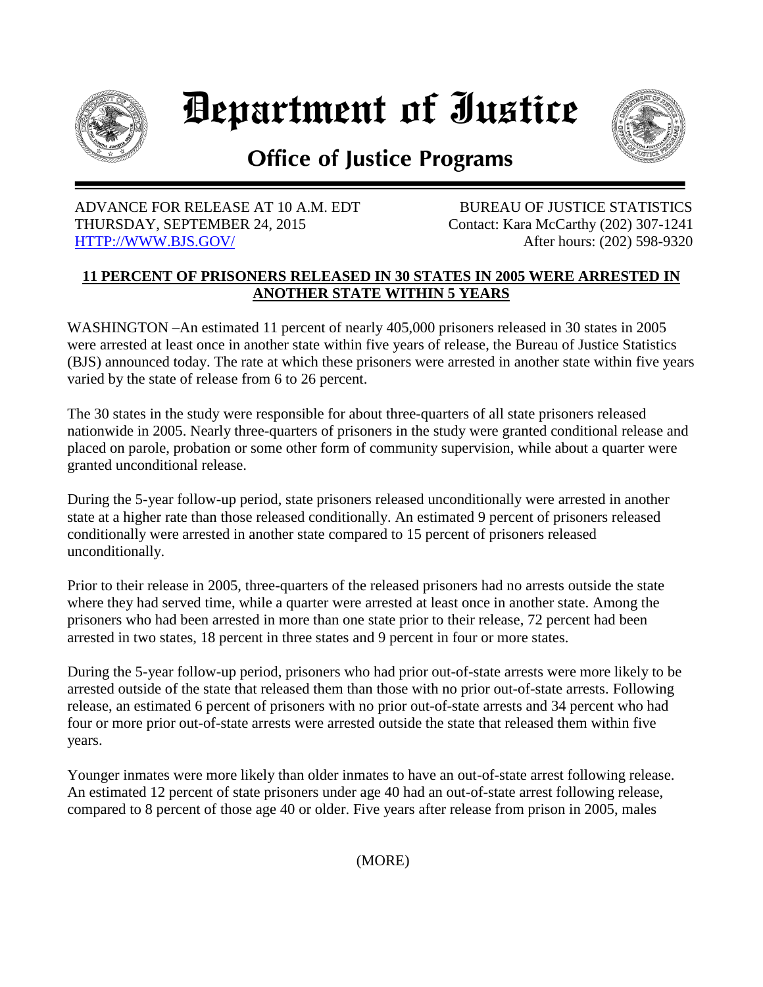

# Department of Iustice



## **Office of Justice Programs**

#### ADVANCE FOR RELEASE AT 10 A.M. EDT BUREAU OF JUSTICE STATISTICS THURSDAY, SEPTEMBER 24, 2015 Contact: Kara McCarthy (202) 307-1241 [HTTP://WWW.BJS.GOV/](http://www.bjs.gov/) After hours: (202) 598-9320

### **11 PERCENT OF PRISONERS RELEASED IN 30 STATES IN 2005 WERE ARRESTED IN ANOTHER STATE WITHIN 5 YEARS**

WASHINGTON –An estimated 11 percent of nearly 405,000 prisoners released in 30 states in 2005 were arrested at least once in another state within five years of release, the Bureau of Justice Statistics (BJS) announced today. The rate at which these prisoners were arrested in another state within five years varied by the state of release from 6 to 26 percent.

The 30 states in the study were responsible for about three-quarters of all state prisoners released nationwide in 2005. Nearly three-quarters of prisoners in the study were granted conditional release and placed on parole, probation or some other form of community supervision, while about a quarter were granted unconditional release.

During the 5-year follow-up period, state prisoners released unconditionally were arrested in another state at a higher rate than those released conditionally. An estimated 9 percent of prisoners released conditionally were arrested in another state compared to 15 percent of prisoners released unconditionally.

Prior to their release in 2005, three-quarters of the released prisoners had no arrests outside the state where they had served time, while a quarter were arrested at least once in another state. Among the prisoners who had been arrested in more than one state prior to their release, 72 percent had been arrested in two states, 18 percent in three states and 9 percent in four or more states.

During the 5-year follow-up period, prisoners who had prior out-of-state arrests were more likely to be arrested outside of the state that released them than those with no prior out-of-state arrests. Following release, an estimated 6 percent of prisoners with no prior out-of-state arrests and 34 percent who had four or more prior out-of-state arrests were arrested outside the state that released them within five years.

Younger inmates were more likely than older inmates to have an out-of-state arrest following release. An estimated 12 percent of state prisoners under age 40 had an out-of-state arrest following release, compared to 8 percent of those age 40 or older. Five years after release from prison in 2005, males

(MORE)